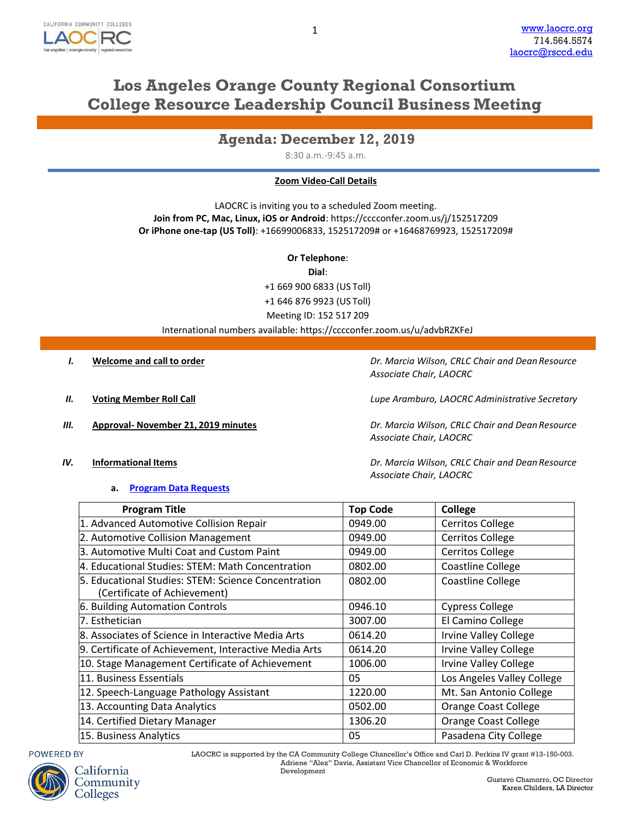

# **Los Angeles Orange County Regional Consortium College Resource Leadership Council Business Meeting**

## **Agenda: December 12, 2019**

8:30 a.m.-9:45 a.m.

### **Zoom Video-Call Details**

LAOCRC is inviting you to a scheduled Zoom meeting. **Join from PC, Mac, Linux, iOS or Android**: https://cccconfer.zoom.us/j/152517209 **Or iPhone one-tap (US Toll)**: +16699006833, 152517209# or +16468769923, 152517209#

**Or Telephone**:

**Dial**:

+1 669 900 6833 (US Toll) +1 646 876 9923 (US Toll) Meeting ID: 152 517 209

International numbers available: https://cccconfer.zoom.us/u/advbRZKFeJ

*I.* **Welcome and call to order** *Dr. Marcia Wilson, CRLC Chair and Dean Resource Associate Chair, LAOCRC*

*II.* **Voting Member Roll Call** *Lupe Aramburo, LAOCRC Administrative Secretary*

*III.* **Approval- November 21, 2019 minutes** *Dr. Marcia Wilson, CRLC Chair and Dean Resource Associate Chair, LAOCRC*

*Associate Chair, LAOCRC*

### *IV.* **Informational Items** *Dr. Marcia Wilson, CRLC Chair and Dean Resource*

#### **a. [Program Data](http://www.laocrc.org/educators/program-approval/program-intents) Requests**

**Program Title Top Code College** 1. Advanced Automotive Collision Repair 0949.00 Cerritos College 2. Automotive Collision Management 19949.00 Cerritos College 3. Automotive Multi Coat and Custom Paint 19949.00 Cerritos College 4. Educational Studies: STEM: Math Concentration  $\vert$  0802.00 Coastline College 5. Educational Studies: STEM: Science Concentration (Certificate of Achievement) 0802.00 | Coastline College 6. Building Automation Controls 0946.10 Cypress College 7. Esthetician 3007.00 El Camino College 8. Associates of Science in Interactive Media Arts | 0614.20 | Irvine Valley College 9. Certificate of Achievement, Interactive Media Arts 0614.20 Irvine Valley College 10. Stage Management Certificate of Achievement 1006.00 Irvine Valley College 11. Business Essentials **11. Business Essentials 11. Business Essentials** 12. Speech-Language Pathology Assistant 1220.00 Mt. San Antonio College 13. Accounting Data Analytics **Constructed Analytics** 10502.00 **Orange Coast College** 14. Certified Dietary Manager 1306.20 | Orange Coast College 15. Business Analytics **Pasadena City College Pasadena City College** 





LAOCRC is supported by the CA Community College Chancellor's Office and Carl D. Perkins IV grant #13-150-003. Adriene "Alex" Davis, Assistant Vice Chancellor of Economic & Workforce Development

> Gustavo Chamorro, OC Director Karen Childers, LA Director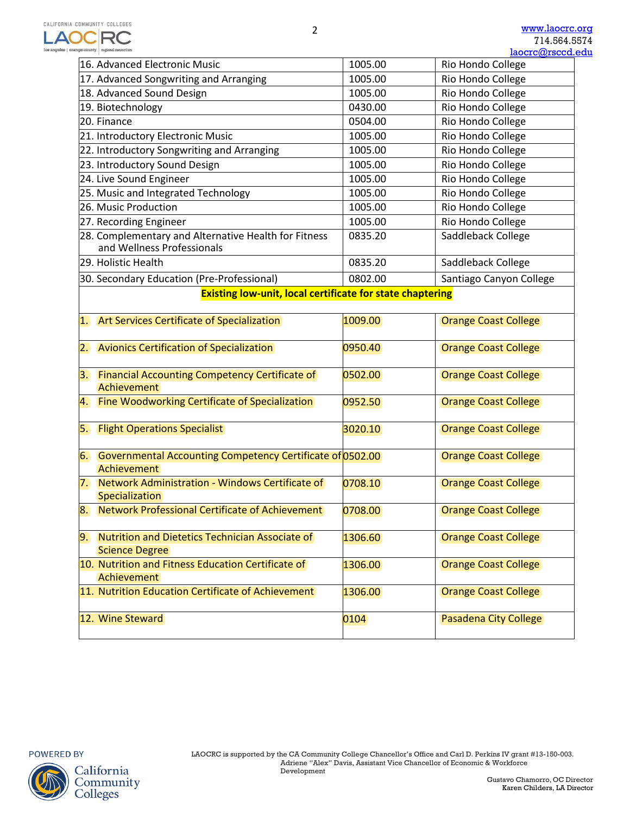|                                                           |                                                                                    |         | <u>laocrc@rsccd.</u>        |
|-----------------------------------------------------------|------------------------------------------------------------------------------------|---------|-----------------------------|
|                                                           | 16. Advanced Electronic Music                                                      | 1005.00 | Rio Hondo College           |
|                                                           | 17. Advanced Songwriting and Arranging                                             | 1005.00 | Rio Hondo College           |
|                                                           | 18. Advanced Sound Design                                                          | 1005.00 | Rio Hondo College           |
|                                                           | 19. Biotechnology                                                                  | 0430.00 | Rio Hondo College           |
|                                                           | 20. Finance                                                                        | 0504.00 | Rio Hondo College           |
|                                                           | 21. Introductory Electronic Music                                                  | 1005.00 | Rio Hondo College           |
|                                                           | 22. Introductory Songwriting and Arranging                                         | 1005.00 | Rio Hondo College           |
|                                                           | 23. Introductory Sound Design                                                      | 1005.00 | Rio Hondo College           |
|                                                           | 24. Live Sound Engineer                                                            | 1005.00 | Rio Hondo College           |
|                                                           | 25. Music and Integrated Technology                                                | 1005.00 | Rio Hondo College           |
|                                                           | 26. Music Production                                                               | 1005.00 | Rio Hondo College           |
|                                                           | 27. Recording Engineer                                                             | 1005.00 | Rio Hondo College           |
|                                                           | 28. Complementary and Alternative Health for Fitness<br>and Wellness Professionals | 0835.20 | Saddleback College          |
|                                                           | 29. Holistic Health                                                                | 0835.20 | Saddleback College          |
|                                                           | 30. Secondary Education (Pre-Professional)                                         | 0802.00 | Santiago Canyon College     |
| Existing low-unit, local certificate for state chaptering |                                                                                    |         |                             |
| $\mathbf{1}$ .                                            | <b>Art Services Certificate of Specialization</b>                                  | 1009.00 | <b>Orange Coast College</b> |
| 2.                                                        | <b>Avionics Certification of Specialization</b>                                    | 0950.40 | <b>Orange Coast College</b> |
| 3.                                                        | <b>Financial Accounting Competency Certificate of</b><br>Achievement               | 0502.00 | <b>Orange Coast College</b> |
| <b>4.</b>                                                 | <b>Fine Woodworking Certificate of Specialization</b>                              | 0952.50 | <b>Orange Coast College</b> |
| 5.                                                        | <b>Flight Operations Specialist</b>                                                | 3020.10 | <b>Orange Coast College</b> |
| 6.                                                        | Governmental Accounting Competency Certificate of 0502.00<br>Achievement           |         | <b>Orange Coast College</b> |
| 7.                                                        | Network Administration - Windows Certificate of<br>Specialization                  | 0708.10 | Orange Coast College        |
| 8.                                                        | Network Professional Certificate of Achievement                                    | 0708.00 | <b>Orange Coast College</b> |
| 9.                                                        | Nutrition and Dietetics Technician Associate of<br><b>Science Degree</b>           | 1306.60 | <b>Orange Coast College</b> |
|                                                           | 10. Nutrition and Fitness Education Certificate of<br><b>Achievement</b>           | 1306.00 | <b>Orange Coast College</b> |
|                                                           | 11. Nutrition Education Certificate of Achievement                                 | 1306.00 | <b>Orange Coast College</b> |
|                                                           | 12. Wine Steward                                                                   | 0104    | Pasadena City College       |

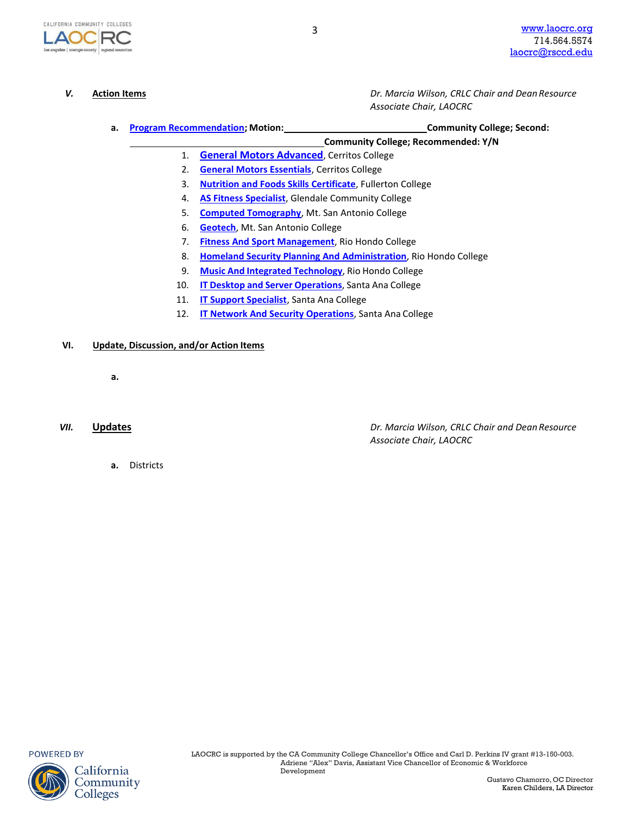

*V.* **Action Items** *Dr. Marcia Wilson, CRLC Chair and Dean Resource Associate Chair, LAOCRC*

**a. Program [Recommendation;](https://www.regionalcte.org/browse?region=4&%3Bstatus=4&%3Bsearch&%3Bsubmit) Motion: Community College; Second:**

**Community College; Recommended: Y/N**

- 1. **General Motors Advanced**, Cerritos College
- 2. **[General Motors Essentials](https://www.regionalcte.org/browse/40vbK)**[, Cerritos](https://www.regionalcte.org/browse/40vbK) College
- 3. **[Nutrition and Foods Skills C](https://www.regionalcte.org/browse/3jBa3)ertificate**, Fullerton College
- 4. **[AS Fitness Specialist](https://www.regionalcte.org/browse/ZYb14)**, Glendale Community College
- 5. **[Computed Tomography](https://www.regionalcte.org/browse/350g4)**, Mt. San Antonio College
- 6. **Geotech**[, Mt. San Antonio C](https://www.regionalcte.org/browse/ZbbQZ)ollege
- 7. **[Fitness And](https://www.regionalcte.org/browse/Zy1yZ) Sport Management**, Rio Hondo College
- 8. **[Homeland Security Planning And A](https://www.regionalcte.org/browse/Z9RB4)dministration**, Rio Hondo College
- 9. **Music And Integrated [Technology](https://www.regionalcte.org/browse/Kk7bK)**, Rio Hondo College
- 10. **IT Desktop and Server [Operations](https://www.regionalcte.org/browse/Zbl73)**, Santa Ana College
- 11. **[IT Support Specialist](https://www.regionalcte.org/browse/3qLn4)**, Santa Ana College
- 12. **[IT Network And Security Operations](https://www.regionalcte.org/browse/3WkD3)**, Santa Ana College

#### **VI. Update, Discussion, and/or Action Items**

**a.**

*VII.* **Updates** *Dr. Marcia Wilson, CRLC Chair and DeanResource Associate Chair, LAOCRC*

**a.** Districts